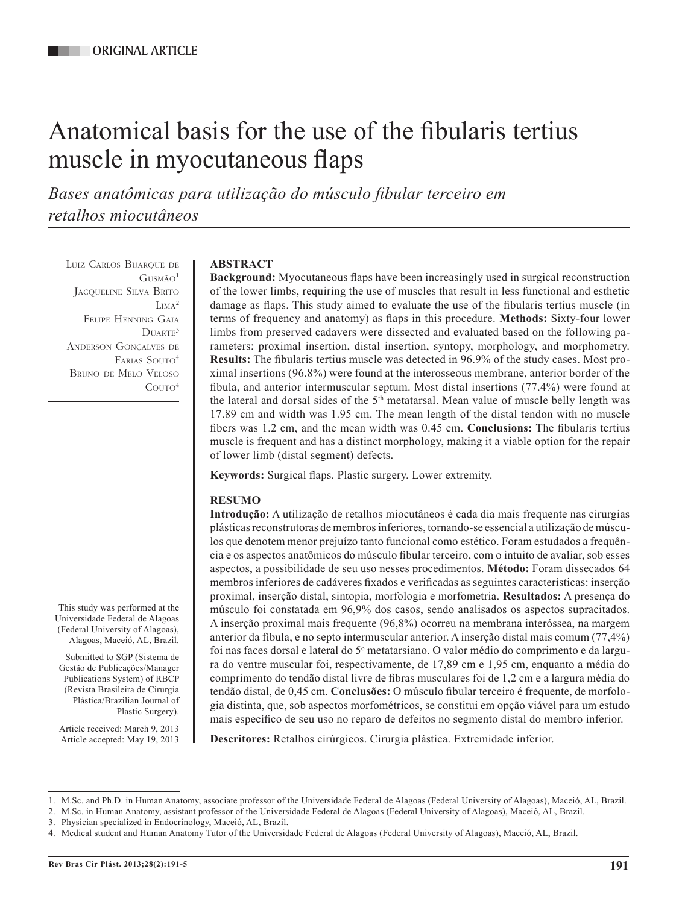# Anatomical basis for the use of the fibularis tertius muscle in myocutaneous flaps

*Bases anatômicas para utilização do músculo fibular terceiro em retalhos miocutâneos*

Luiz Carlos Buarque de  $G$ USMÃO<sup>1</sup> Jacqueline Silva Brito L<sub>IMA</sub><sup>2</sup> Felipe Henning Gaia  $D\text{UARTE}^3$ Anderson Gonçalves de FARIAS SOUTO<sup>4</sup> Bruno de Melo Veloso  $C$ outo<sup>4</sup>

# **ABSTRACT**

**Background:** Myocutaneous flaps have been increasingly used in surgical reconstruction of the lower limbs, requiring the use of muscles that result in less functional and esthetic damage as flaps. This study aimed to evaluate the use of the fibularis tertius muscle (in terms of frequency and anatomy) as flaps in this procedure. **Methods:** Sixty-four lower limbs from preserved cadavers were dissected and evaluated based on the following parameters: proximal insertion, distal insertion, syntopy, morphology, and morphometry. **Results:** The fibularis tertius muscle was detected in 96.9% of the study cases. Most proximal insertions (96.8%) were found at the interosseous membrane, anterior border of the fibula, and anterior intermuscular septum. Most distal insertions (77.4%) were found at the lateral and dorsal sides of the  $5<sup>th</sup>$  metatarsal. Mean value of muscle belly length was 17.89 cm and width was 1.95 cm. The mean length of the distal tendon with no muscle fibers was 1.2 cm, and the mean width was 0.45 cm. **Conclusions:** The fibularis tertius muscle is frequent and has a distinct morphology, making it a viable option for the repair of lower limb (distal segment) defects.

**Keywords:** Surgical flaps. Plastic surgery. Lower extremity.

# **RESUMO**

**Introdução:** A utilização de retalhos miocutâneos é cada dia mais frequente nas cirurgias plásticas reconstrutoras de membros inferiores, tornando-se essencial a utilização de músculos que denotem menor prejuízo tanto funcional como estético. Foram estudados a frequência e os aspectos anatômicos do músculo fibular terceiro, com o intuito de avaliar, sob esses aspectos, a possibilidade de seu uso nesses procedimentos. **Método:** Foram dissecados 64 membros inferiores de cadáveres fixados e verificadas as seguintes características: inserção proximal, inserção distal, sintopia, morfologia e morfometria. **Resultados:** A presença do músculo foi constatada em 96,9% dos casos, sendo analisados os aspectos supracitados. A inserção proximal mais frequente (96,8%) ocorreu na membrana interóssea, na margem anterior da fíbula, e no septo intermuscular anterior. A inserção distal mais comum (77,4%) foi nas faces dorsal e lateral do  $5^\circ$  metatarsiano. O valor médio do comprimento e da largura do ventre muscular foi, respectivamente, de 17,89 cm e 1,95 cm, enquanto a média do comprimento do tendão distal livre de fibras musculares foi de 1,2 cm e a largura média do tendão distal, de 0,45 cm. **Conclusões:** O músculo fibular terceiro é frequente, de morfologia distinta, que, sob aspectos morfométricos, se constitui em opção viável para um estudo mais específico de seu uso no reparo de defeitos no segmento distal do membro inferior.

**Descritores:** Retalhos cirúrgicos. Cirurgia plástica. Extremidade inferior.

2. M.Sc. in Human Anatomy, assistant professor of the Universidade Federal de Alagoas (Federal University of Alagoas), Maceió, AL, Brazil.

Plastic Surgery).

This study was performed at the Universidade Federal de Alagoas (Federal University of Alagoas), Alagoas, Maceió, AL, Brazil. Submitted to SGP (Sistema de Gestão de Publicações/Manager Publications System) of RBCP (Revista Brasileira de Cirurgia Plástica/Brazilian Journal of

Article received: March 9, 2013 Article accepted: May 19, 2013

<sup>1.</sup> M.Sc. and Ph.D. in Human Anatomy, associate professor of the Universidade Federal de Alagoas (Federal University of Alagoas), Maceió, AL, Brazil.

<sup>3.</sup> Physician specialized in Endocrinology, Maceió, AL, Brazil.

<sup>4.</sup> Medical student and Human Anatomy Tutor of the Universidade Federal de Alagoas (Federal University of Alagoas), Maceió, AL, Brazil.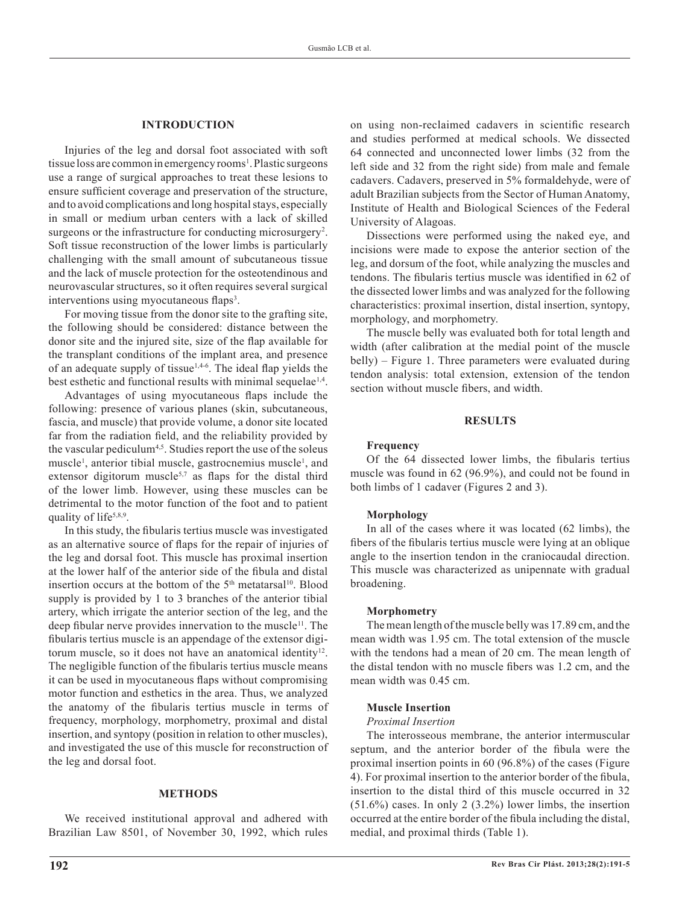# **INTRODUCTION**

Injuries of the leg and dorsal foot associated with soft tissue loss are common in emergency rooms<sup>1</sup>. Plastic surgeons use a range of surgical approaches to treat these lesions to ensure sufficient coverage and preservation of the structure, and to avoid complications and long hospital stays, especially in small or medium urban centers with a lack of skilled surgeons or the infrastructure for conducting microsurgery<sup>2</sup>. Soft tissue reconstruction of the lower limbs is particularly challenging with the small amount of subcutaneous tissue and the lack of muscle protection for the osteotendinous and neurovascular structures, so it often requires several surgical interventions using myocutaneous flaps<sup>3</sup>.

For moving tissue from the donor site to the grafting site, the following should be considered: distance between the donor site and the injured site, size of the flap available for the transplant conditions of the implant area, and presence of an adequate supply of tissue<sup>1,4-6</sup>. The ideal flap yields the best esthetic and functional results with minimal sequelae<sup>1,4</sup>.

Advantages of using myocutaneous flaps include the following: presence of various planes (skin, subcutaneous, fascia, and muscle) that provide volume, a donor site located far from the radiation field, and the reliability provided by the vascular pediculum<sup>4,5</sup>. Studies report the use of the soleus muscle<sup>1</sup>, anterior tibial muscle, gastrocnemius muscle<sup>1</sup>, and extensor digitorum muscle<sup>5,7</sup> as flaps for the distal third of the lower limb. However, using these muscles can be detrimental to the motor function of the foot and to patient quality of life<sup>5,8,9</sup>.

In this study, the fibularis tertius muscle was investigated as an alternative source of flaps for the repair of injuries of the leg and dorsal foot. This muscle has proximal insertion at the lower half of the anterior side of the fibula and distal insertion occurs at the bottom of the  $5<sup>th</sup>$  metatarsal<sup>10</sup>. Blood supply is provided by 1 to 3 branches of the anterior tibial artery, which irrigate the anterior section of the leg, and the deep fibular nerve provides innervation to the muscle<sup>11</sup>. The fibularis tertius muscle is an appendage of the extensor digitorum muscle, so it does not have an anatomical identity<sup>12</sup>. The negligible function of the fibularis tertius muscle means it can be used in myocutaneous flaps without compromising motor function and esthetics in the area. Thus, we analyzed the anatomy of the fibularis tertius muscle in terms of frequency, morphology, morphometry, proximal and distal insertion, and syntopy (position in relation to other muscles), and investigated the use of this muscle for reconstruction of the leg and dorsal foot.

# **METHODS**

We received institutional approval and adhered with Brazilian Law 8501, of November 30, 1992, which rules on using non-reclaimed cadavers in scientific research and studies performed at medical schools. We dissected 64 connected and unconnected lower limbs (32 from the left side and 32 from the right side) from male and female cadavers. Cadavers, preserved in 5% formaldehyde, were of adult Brazilian subjects from the Sector of Human Anatomy, Institute of Health and Biological Sciences of the Federal University of Alagoas.

Dissections were performed using the naked eye, and incisions were made to expose the anterior section of the leg, and dorsum of the foot, while analyzing the muscles and tendons. The fibularis tertius muscle was identified in 62 of the dissected lower limbs and was analyzed for the following characteristics: proximal insertion, distal insertion, syntopy, morphology, and morphometry.

The muscle belly was evaluated both for total length and width (after calibration at the medial point of the muscle belly) – Figure 1. Three parameters were evaluated during tendon analysis: total extension, extension of the tendon section without muscle fibers, and width.

#### **RESULTS**

### **Frequency**

Of the 64 dissected lower limbs, the fibularis tertius muscle was found in 62 (96.9%), and could not be found in both limbs of 1 cadaver (Figures 2 and 3).

#### **Morphology**

In all of the cases where it was located (62 limbs), the fibers of the fibularis tertius muscle were lying at an oblique angle to the insertion tendon in the craniocaudal direction. This muscle was characterized as unipennate with gradual broadening.

#### **Morphometry**

The mean length of the muscle belly was 17.89 cm, and the mean width was 1.95 cm. The total extension of the muscle with the tendons had a mean of 20 cm. The mean length of the distal tendon with no muscle fibers was 1.2 cm, and the mean width was 0.45 cm.

#### **Muscle Insertion**

#### *Proximal Insertion*

The interosseous membrane, the anterior intermuscular septum, and the anterior border of the fibula were the proximal insertion points in 60 (96.8%) of the cases (Figure 4). For proximal insertion to the anterior border of the fibula, insertion to the distal third of this muscle occurred in 32 (51.6%) cases. In only 2 (3.2%) lower limbs, the insertion occurred at the entire border of the fibula including the distal, medial, and proximal thirds (Table 1).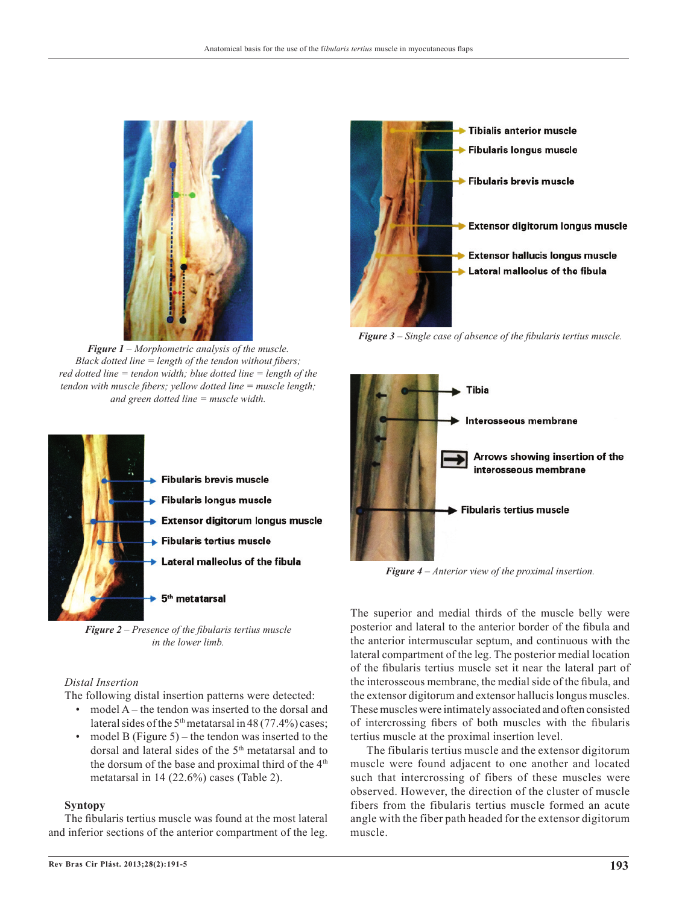

*Figure 1 – Morphometric analysis of the muscle. Black dotted line = length of the tendon without fibers; red dotted line = tendon width; blue dotted line = length of the tendon with muscle fibers; yellow dotted line = muscle length; and green dotted line = muscle width.*



*Figure 2 – Presence of the fibularis tertius muscle in the lower limb.*

# *Distal Insertion*

The following distal insertion patterns were detected:

- model A the tendon was inserted to the dorsal and lateral sides of the  $5<sup>th</sup>$  metatarsal in 48 (77.4%) cases;
- model B (Figure 5) the tendon was inserted to the dorsal and lateral sides of the 5<sup>th</sup> metatarsal and to the dorsum of the base and proximal third of the 4<sup>th</sup> metatarsal in 14 (22.6%) cases (Table 2).

# **Syntopy**

The fibularis tertius muscle was found at the most lateral and inferior sections of the anterior compartment of the leg.



*Figure 3 – Single case of absence of the fibularis tertius muscle.*



*Figure 4 – Anterior view of the proximal insertion.*

The superior and medial thirds of the muscle belly were posterior and lateral to the anterior border of the fibula and the anterior intermuscular septum, and continuous with the lateral compartment of the leg. The posterior medial location of the fibularis tertius muscle set it near the lateral part of the interosseous membrane, the medial side of the fibula, and the extensor digitorum and extensor hallucis longus muscles. These muscles were intimately associated and often consisted of intercrossing fibers of both muscles with the fibularis tertius muscle at the proximal insertion level.

The fibularis tertius muscle and the extensor digitorum muscle were found adjacent to one another and located such that intercrossing of fibers of these muscles were observed. However, the direction of the cluster of muscle fibers from the fibularis tertius muscle formed an acute angle with the fiber path headed for the extensor digitorum muscle.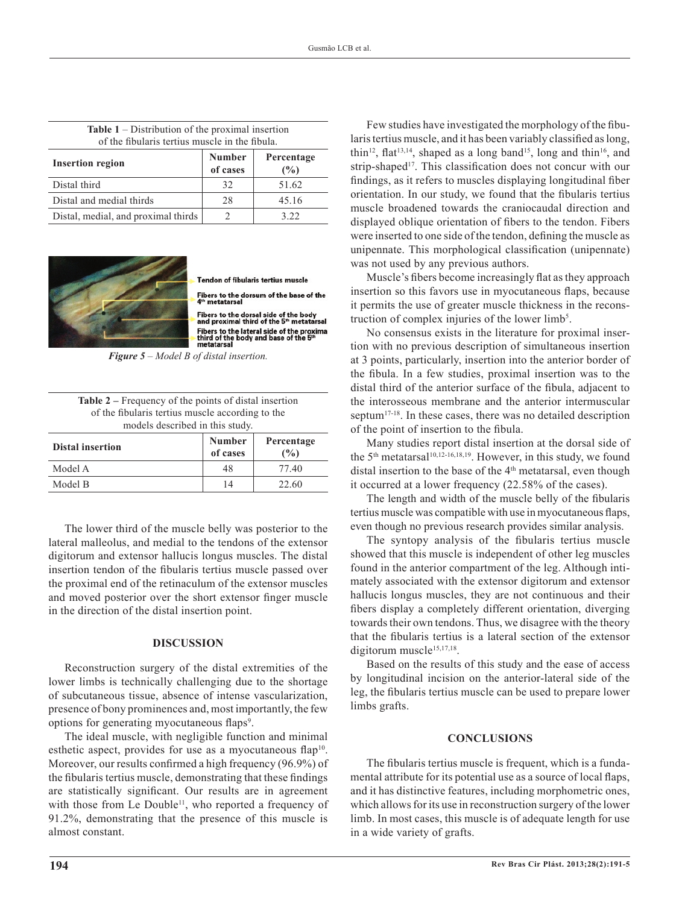| of the fibularis tertius muscle in the fibula. |                           |                   |  |
|------------------------------------------------|---------------------------|-------------------|--|
| <b>Insertion region</b>                        | <b>Number</b><br>of cases | Percentage<br>(%) |  |
| Distal third                                   | 32                        | 51.62             |  |
| Distal and medial thirds                       | 28                        | 45.16             |  |
| Distal, medial, and proximal thirds            |                           | 3.22              |  |

| <b>Table 1</b> – Distribution of the proximal insertion |  |
|---------------------------------------------------------|--|
| of the fibularis tertius muscle in the fibula           |  |



Tendon of fibularis tertius muscle

Fibers to the dorsum of the base of the

Fibers to the dorsal side of the body<br>and proximal third of the 5<sup>th</sup> metatarsal Fibers to the lateral side of the proximal<br>third of the body and base of the 5<sup>th</sup><br>metatarsal

*Figure 5 – Model B of distal insertion.*

| <b>Table 2</b> – Frequency of the points of distal insertion |
|--------------------------------------------------------------|
| of the fibularis tertius muscle according to the             |
| models described in this study.                              |

| <b>Distal insertion</b> | <b>Number</b><br>of cases | Percentage<br>$\binom{0}{0}$ |
|-------------------------|---------------------------|------------------------------|
| Model A                 | 48                        | 77.40                        |
| Model B                 | 14                        | 22.60                        |

The lower third of the muscle belly was posterior to the lateral malleolus, and medial to the tendons of the extensor digitorum and extensor hallucis longus muscles. The distal insertion tendon of the fibularis tertius muscle passed over the proximal end of the retinaculum of the extensor muscles and moved posterior over the short extensor finger muscle in the direction of the distal insertion point.

# **DISCUSSION**

Reconstruction surgery of the distal extremities of the lower limbs is technically challenging due to the shortage of subcutaneous tissue, absence of intense vascularization, presence of bony prominences and, most importantly, the few options for generating myocutaneous flaps<sup>9</sup>.

The ideal muscle, with negligible function and minimal esthetic aspect, provides for use as a myocutaneous flap<sup>10</sup>. Moreover, our results confirmed a high frequency (96.9%) of the fibularis tertius muscle, demonstrating that these findings are statistically significant. Our results are in agreement with those from Le Double<sup>11</sup>, who reported a frequency of 91.2%, demonstrating that the presence of this muscle is almost constant.

Few studies have investigated the morphology of the fibularis tertius muscle, and it has been variably classified as long, thin<sup>12</sup>, flat<sup>13,14</sup>, shaped as a long band<sup>15</sup>, long and thin<sup>16</sup>, and strip-shaped<sup>17</sup>. This classification does not concur with our findings, as it refers to muscles displaying longitudinal fiber orientation. In our study, we found that the fibularis tertius muscle broadened towards the craniocaudal direction and displayed oblique orientation of fibers to the tendon. Fibers were inserted to one side of the tendon, defining the muscle as unipennate. This morphological classification (unipennate) was not used by any previous authors.

Muscle's fibers become increasingly flat as they approach insertion so this favors use in myocutaneous flaps, because it permits the use of greater muscle thickness in the reconstruction of complex injuries of the lower  $limb<sup>5</sup>$ .

No consensus exists in the literature for proximal insertion with no previous description of simultaneous insertion at 3 points, particularly, insertion into the anterior border of the fibula. In a few studies, proximal insertion was to the distal third of the anterior surface of the fibula, adjacent to the interosseous membrane and the anterior intermuscular septum<sup>17-18</sup>. In these cases, there was no detailed description of the point of insertion to the fibula.

Many studies report distal insertion at the dorsal side of the  $5<sup>th</sup>$  metatarsal<sup>10,12-16,18,19</sup>. However, in this study, we found distal insertion to the base of the 4<sup>th</sup> metatarsal, even though it occurred at a lower frequency (22.58% of the cases).

The length and width of the muscle belly of the fibularis tertius muscle was compatible with use in myocutaneous flaps, even though no previous research provides similar analysis.

The syntopy analysis of the fibularis tertius muscle showed that this muscle is independent of other leg muscles found in the anterior compartment of the leg. Although intimately associated with the extensor digitorum and extensor hallucis longus muscles, they are not continuous and their fibers display a completely different orientation, diverging towards their own tendons. Thus, we disagree with the theory that the fibularis tertius is a lateral section of the extensor digitorum muscle<sup>15,17,18</sup>.

Based on the results of this study and the ease of access by longitudinal incision on the anterior-lateral side of the leg, the fibularis tertius muscle can be used to prepare lower limbs grafts.

# **CONCLUSIONS**

The fibularis tertius muscle is frequent, which is a fundamental attribute for its potential use as a source of local flaps, and it has distinctive features, including morphometric ones, which allows for its use in reconstruction surgery of the lower limb. In most cases, this muscle is of adequate length for use in a wide variety of grafts.